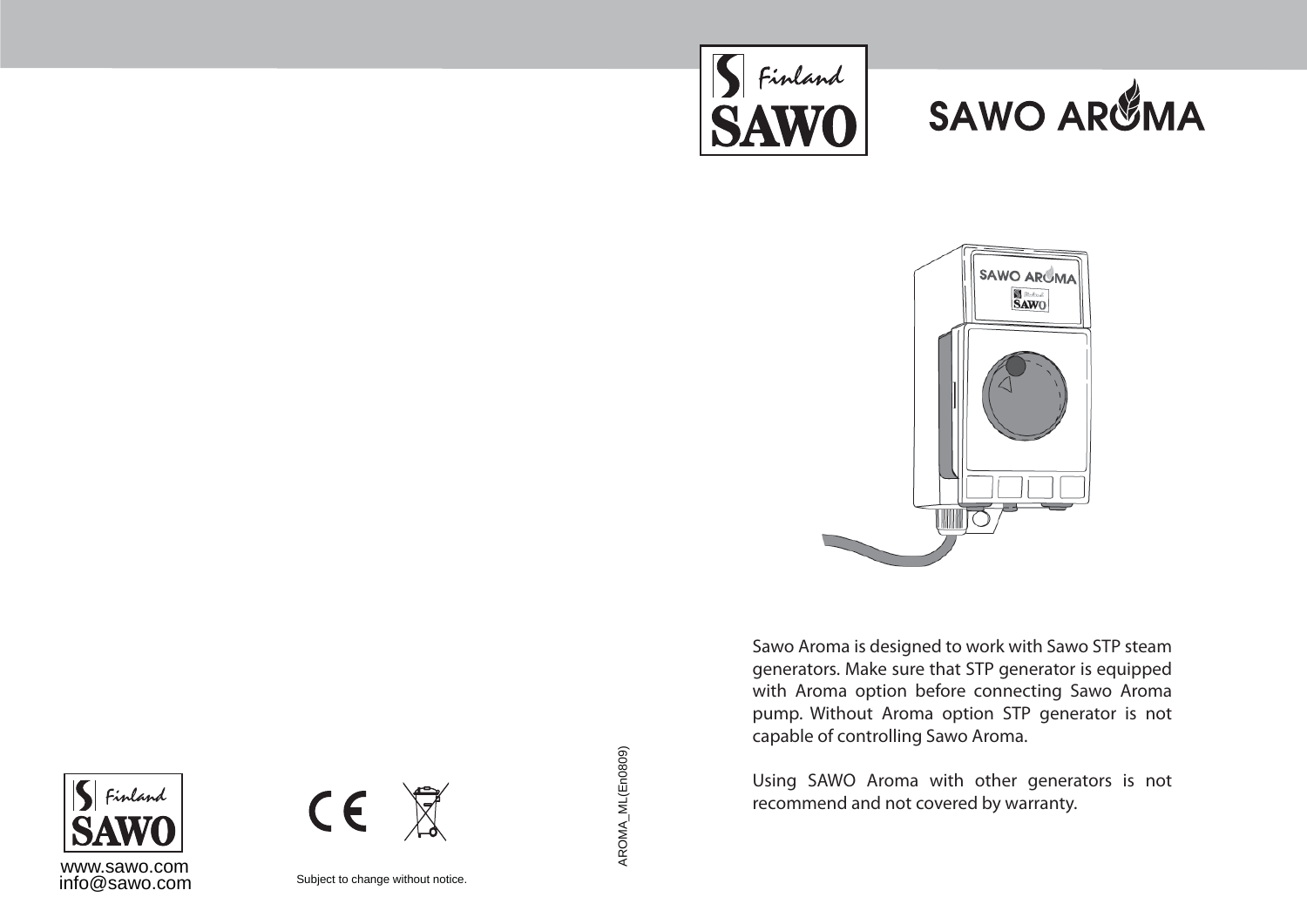





Sawo Aroma is designed to work with Sawo STP steam generators. Make sure that STP generator is equipped with Aroma option before connecting Sawo Aroma pump. Without Aroma option STP generator is not capable of controlling Sawo Aroma.

Using SAWO Aroma with other generators is not recommend and not covered by warranty.





Subject to change without notice.

AROMA\_ML(En0809)

AROMA\_ML(En0809)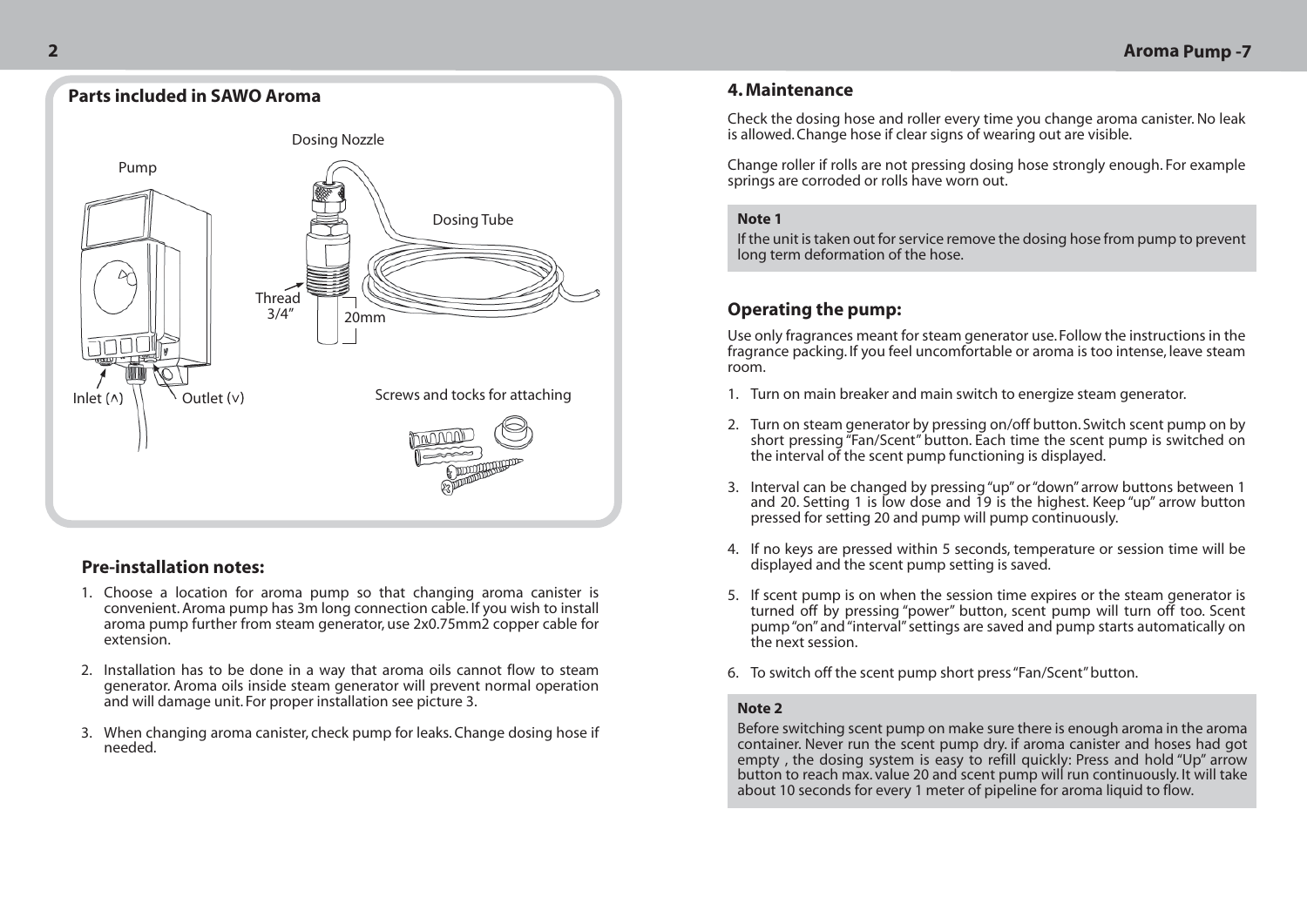

# **Pre-installation notes:**

- 1. Choose a location for aroma pump so that changing aroma canister is convenient. Aroma pump has 3m long connection cable. If you wish to install aroma pump further from steam generator, use 2x0.75mm2 copper cable for extension.
- 2. Installation has to be done in a way that aroma oils cannot flow to steam generator. Aroma oils inside steam generator will prevent normal operation and will damage unit. For proper installation see picture 3.
- When changing aroma canister, check pump for leaks. Change dosing hose if 3. needed.

### **4. Maintenance**

Check the dosing hose and roller every time you change aroma canister. No leak is allowed. Change hose if clear signs of wearing out are visible.

Change roller if rolls are not pressing dosing hose strongly enough. For example springs are corroded or rolls have worn out.

#### **Note 1**

If the unit is taken out for service remove the dosing hose from pump to prevent long term deformation of the hose.

# **Operating the pump:**

Use only fragrances meant for steam generator use. Follow the instructions in the fragrance packing. If you feel uncomfortable or aroma is too intense, leave steam room.

- 1. Turn on main breaker and main switch to energize steam generator.
- 2. Turn on steam generator by pressing on/off button. Switch scent pump on by short pressing "Fan/Scent" button. Each time the scent pump is switched on the interval of the scent pump functioning is displayed.
- 3. Interval can be changed by pressing "up" or "down" arrow buttons between 1 and 20. Setting 1 is low dose and 19 is the highest. Keep "up" arrow button pressed for setting 20 and pump will pump continuously.
- 4. If no keys are pressed within 5 seconds, temperature or session time will be displayed and the scent pump setting is saved.
- 5. If scent pump is on when the session time expires or the steam generator is turned off by pressing "power" button, scent pump will turn off too. Scent pump "on" and "interval" settings are saved and pump starts automatically on the next session.
- To switch off the scent pump short press "Fan/Scent" button. 6.

#### **Note 2**

Before switching scent pump on make sure there is enough aroma in the aroma container. Never run the scent pump dry. if aroma canister and hoses had got empty , the dosing system is easy to refill quickly: Press and hold "Up" arrow button to reach max. value 20 and scent pump will run continuously. It will take about 10 seconds for every 1 meter of pipeline for aroma liquid to flow.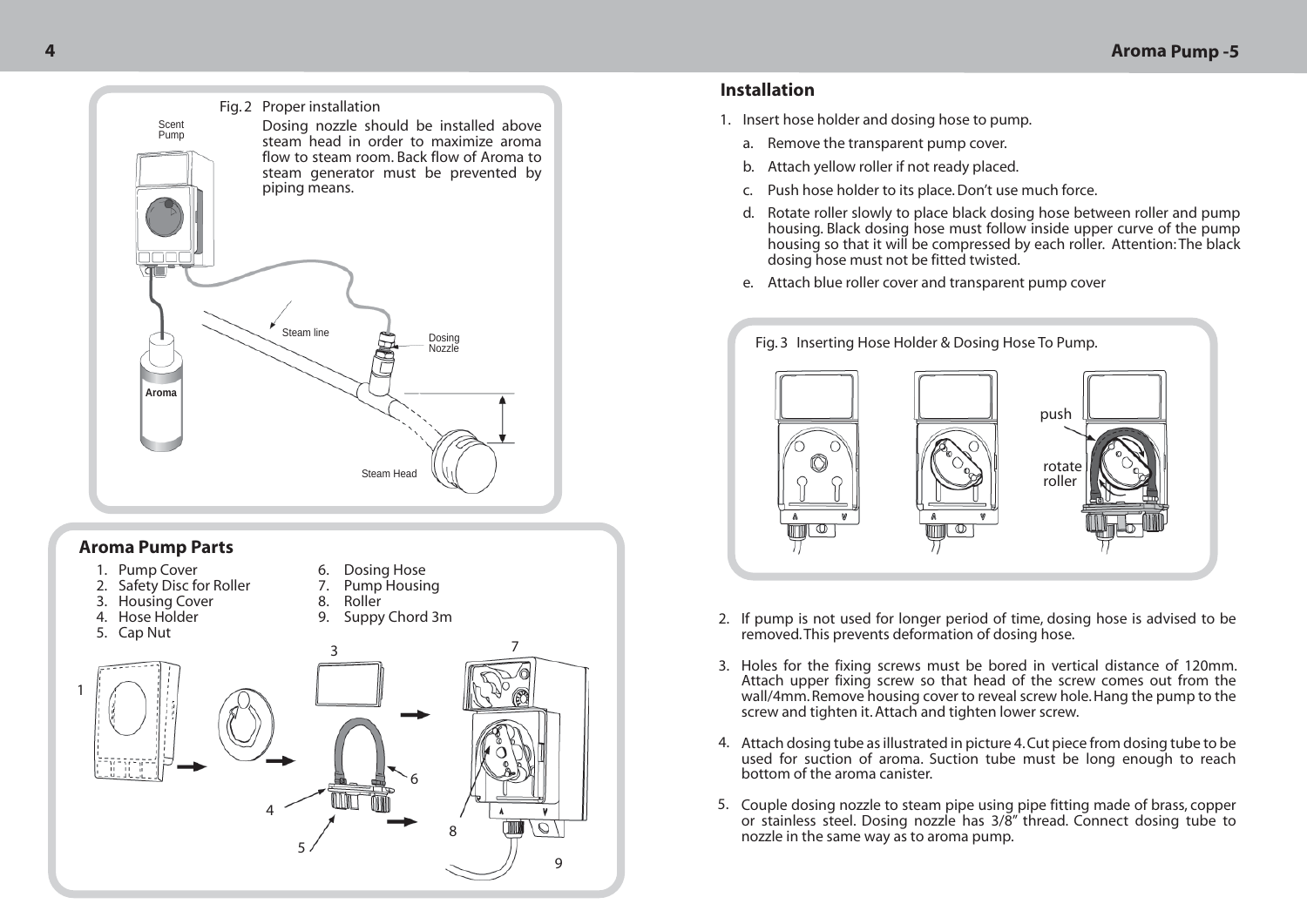

### **Aroma Pump Parts**

- 1. Pump Cover
- 2. Safety Disc for Roller
- 3. Housing Cover
- 4. Hose Holder
- 9. Suppy Chord 3m 8.

6. 7. Dosing Hose Pump Housing

Roller



## **Installation**

- 1. Insert hose holder and dosing hose to pump.
	- a. Remove the transparent pump cover.
	- b. Attach yellow roller if not ready placed.
	- c. Push hose holder to its place. Don't use much force.
	- d. Botate roller slowly to place black dosing hose between roller and pump housing. Black dosing hose must follow inside upper curve of the pump housing so that it will be compressed by each roller. Attention: The black dosing hose must not be fitted twisted.
	- Attach blue roller cover and transparent pump cover e.



- 2. If pump is not used for longer period of time, dosing hose is advised to be removed. This prevents deformation of dosing hose.
- 3. Holes for the fixing screws must be bored in vertical distance of 120mm. Attach upper fixing screw so that head of the screw comes out from the wall/4mm. Remove housing cover to reveal screw hole. Hang the pump to the screw and tighten it. Attach and tighten lower screw.
- Attach dosing tube as illustrated in picture 4. Cut piece from dosing tube to be 4. used for suction of aroma. Suction tube must be long enough to reach bottom of the aroma canister.
- 5. Couple dosing nozzle to steam pipe using pipe fitting made of brass, copper or stainless steel. Dosing nozzle has 3/8" thread. Connect dosing tube to nozzle in the same way as to aroma pump.